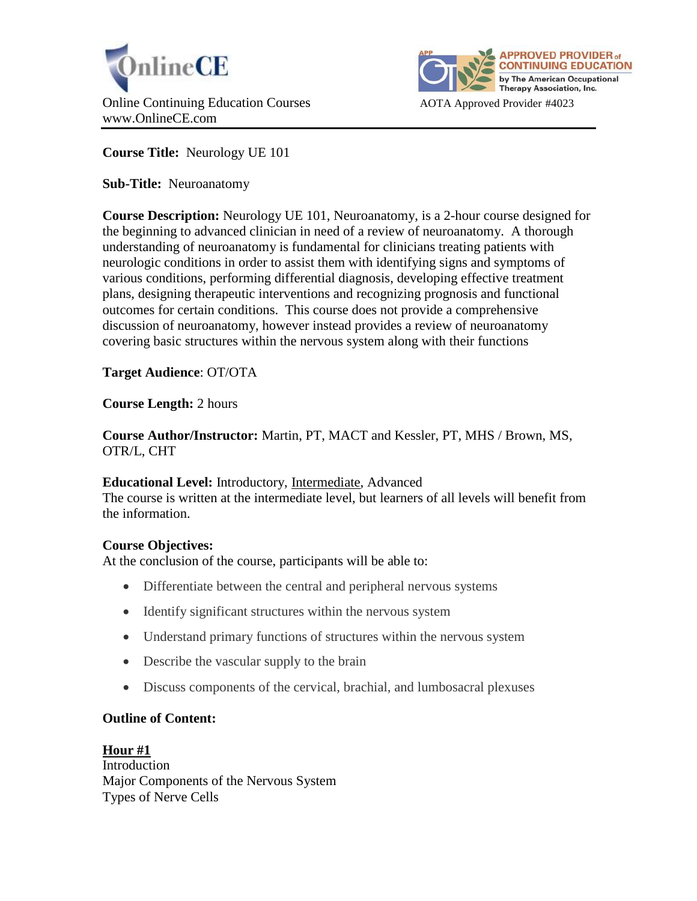



**Course Title:** Neurology UE 101

**Sub-Title:** Neuroanatomy

**Course Description:** Neurology UE 101, Neuroanatomy, is a 2-hour course designed for the beginning to advanced clinician in need of a review of neuroanatomy. A thorough understanding of neuroanatomy is fundamental for clinicians treating patients with neurologic conditions in order to assist them with identifying signs and symptoms of various conditions, performing differential diagnosis, developing effective treatment plans, designing therapeutic interventions and recognizing prognosis and functional outcomes for certain conditions. This course does not provide a comprehensive discussion of neuroanatomy, however instead provides a review of neuroanatomy covering basic structures within the nervous system along with their functions

**Target Audience**: OT/OTA

**Course Length:** 2 hours

**Course Author/Instructor:** Martin, PT, MACT and Kessler, PT, MHS / Brown, MS, OTR/L, CHT

**Educational Level:** Introductory, Intermediate, Advanced

The course is written at the intermediate level, but learners of all levels will benefit from the information.

# **Course Objectives:**

At the conclusion of the course, participants will be able to:

- Differentiate between the central and peripheral nervous systems
- Identify significant structures within the nervous system
- Understand primary functions of structures within the nervous system
- Describe the vascular supply to the brain
- Discuss components of the cervical, brachial, and lumbosacral plexuses

# **Outline of Content:**

**Hour #1** Introduction Major Components of the Nervous System Types of Nerve Cells